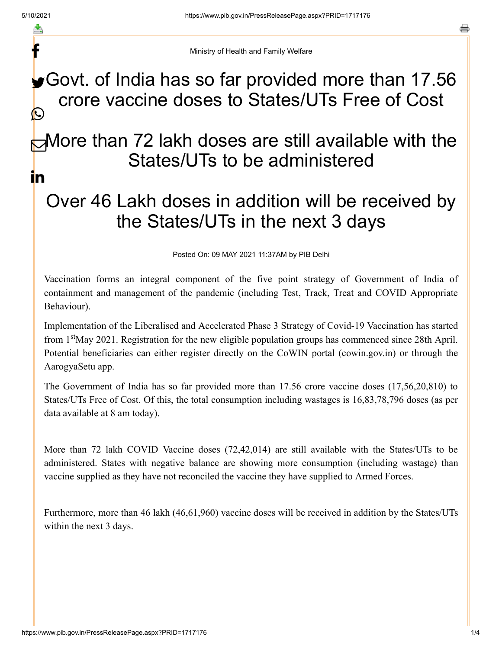f

a

Ministry of Health and Family Welfare

### Govt. of India has so far provided more than 17.56 crore vaccine doses to States/UTs Free of Cost C

### More than 72 lakh doses are still available with the States/UTs to be administered in

# Over 46 Lakh doses in addition will be received by the States/UTs in the next 3 days

Posted On: 09 MAY 2021 11:37AM by PIB Delhi

Vaccination forms an integral component of the five point strategy of Government of India of containment and management of the pandemic (including Test, Track, Treat and COVID Appropriate Behaviour).

Implementation of the Liberalised and Accelerated Phase 3 Strategy of Covid-19 Vaccination has started from 1<sup>st</sup>May 2021. Registration for the new eligible population groups has commenced since 28th April. Potential beneficiaries can either register directly on the CoWIN portal (cowin.gov.in) or through the AarogyaSetu app.

The Government of India has so far provided more than 17.56 crore vaccine doses (17,56,20,810) to States/UTs Free of Cost. Of this, the total consumption including wastages is 16,83,78,796 doses (as per data available at 8 am today).

More than 72 lakh COVID Vaccine doses (72,42,014) are still available with the States/UTs to be administered. States with negative balance are showing more consumption (including wastage) than vaccine supplied as they have not reconciled the vaccine they have supplied to Armed Forces.

Furthermore, more than 46 lakh (46,61,960) vaccine doses will be received in addition by the States/UTs within the next 3 days.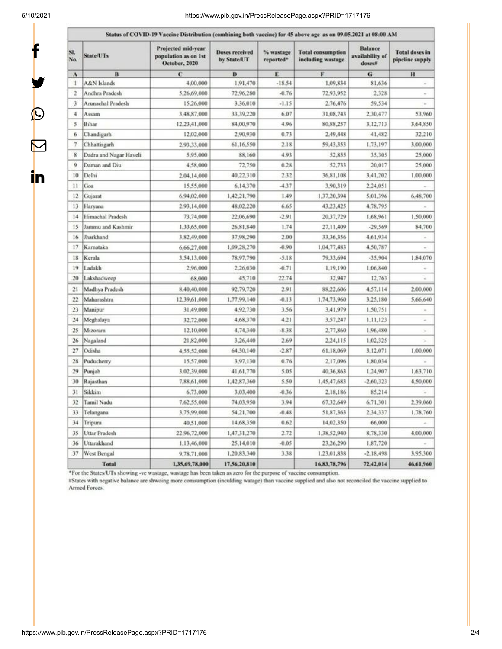$\mathbf{f}$ 

y.

 $\bm{\mathcal{Q}}$ 

 $\bm{\nabla}$ 

in

#### 5/10/2021 https://www.pib.gov.in/PressReleasePage.aspx?PRID=1717176

| SI.<br>No.     | <b>State/UTs</b>       | Projected mid-year<br>population as on 1st<br>October, 2020 | <b>Doses received</b><br>by State/UT | % wastage<br>reported* | <b>Total consumption</b><br>including wastage | <b>Balance</b><br>availability of<br>doses# | <b>Total doses in</b><br>pipeline supply |
|----------------|------------------------|-------------------------------------------------------------|--------------------------------------|------------------------|-----------------------------------------------|---------------------------------------------|------------------------------------------|
| A              | B                      | C                                                           | D                                    | E                      | F                                             | G                                           | $\bf{H}$                                 |
| 1              | A&N Islands            | 4,00,000                                                    | 1,91,470                             | $-18.54$               | 1,09,834                                      | 81,636                                      | $\alpha$                                 |
| $\overline{2}$ | Andhra Pradesh         | 5,26,69,000                                                 | 72,96,280                            | $-0.76$                | 72,93,952                                     | 2,328                                       | ٠                                        |
| 3              | Arunachal Pradesh      | 15,26,000                                                   | 3,36,010                             | $-1.15$                | 2,76,476                                      | 59,534                                      |                                          |
| 4              | Assam                  | 3,48,87,000                                                 | 33.39.220                            | 6.07                   | 31,08,743                                     | 2,30,477                                    | 53,960                                   |
| 5              | Bihar                  | 12,23,41,000                                                | 84,00,970                            | 4.96                   | 80,88,257                                     | 3,12,713                                    | 3,64,850                                 |
| 6              | Chandigarh             | 12:02:000                                                   | 2.90.930                             | 0.73                   | 2,49,448                                      | 41,482                                      | 32,210                                   |
| 7              | Chhattisgarh           | 2,93,33,000                                                 | 61,16,550                            | 2.18                   | 59,43,353                                     | 1,73,197                                    | 3,00,000                                 |
| 8              | Dadra and Nagar Haveli | 5,95,000                                                    | 88,160                               | 4.93                   | 52,855                                        | 35,305                                      | 25,000                                   |
| 9              | Daman and Diu          | 4,58,000                                                    | 72,750                               | 0.28                   | 52,733                                        | 20,017                                      | 25,000                                   |
| 10             | Delhi                  | 2,04,14,000                                                 | 40,22,310                            | 2.32                   | 36,81,108                                     | 3,41,202                                    | 1,00,000                                 |
| 11             | Goa                    | 15,55,000                                                   | 6,14,370                             | $-4.37$                | 3,90,319                                      | 2.24.051                                    |                                          |
| 12             | Gujarat                | 6,94,02,000                                                 | 1,42,21,790                          | 1.49                   | 1,37,20,394                                   | 5,01,396                                    | 6,48,700                                 |
| 13             | Haryana                | 2,93,14,000                                                 | 48,02.220                            | 6.65                   | 43,23,425                                     | 4,78,795                                    |                                          |
| 14             | Himachal Pradesh       | 73,74,000                                                   | 22.06.690                            | $-2.91$                | 20,37,729                                     | 1,68,961                                    | 1,50,000                                 |
| 15             | Jammu and Kashmir      | 1,33,65,000                                                 | 26,81,840                            | 1.74                   | 27,11,409                                     | $-29.569$                                   | 84,700                                   |
| 16             | Jharkhand              | 3,82,49,000                                                 | 37,98,290                            | 2.00                   | 33,36,356                                     | 4,61,934                                    | $\sim$                                   |
| 17             | Karnataka              | 6,66,27,000                                                 | 1,09,28,270                          | $-0.90$                | 1,04,77,483                                   | 4.50.787                                    | $\overline{\phantom{a}}$                 |
| 18             | Kerala                 | 3.54,13,000                                                 | 78,97,790                            | $-5.18$                | 79,33,694                                     | $-35,904$                                   | 1,84,070                                 |
| 19             | Ladakh                 | 2,96,000                                                    | 2,26,030                             | $-0.71$                | 1,19,190                                      | 1,06,840                                    |                                          |
| 20             | Lakshadweep            | 68,000                                                      | 45,710                               | 22:74                  | 32,947                                        | 12,763                                      |                                          |
| 21             | Madhya Pradesh         | 8,40,40,000                                                 | 92,79,720                            | 2.91                   | 88,22,606                                     | 4,57,114                                    | 2.00,000                                 |
| $^{22}$        | Maharashtra            | 12,39,61,000                                                | 1,77,99,140                          | $-0.13$                | 1,74,73,960                                   | 3.25,180                                    | 5,66,640                                 |
| 23             | Manipur                | 31,49,000                                                   | 4,92,730                             | 3.56                   | 3,41,979                                      | 1,50,751                                    |                                          |
| $^{24}$        | Meghalaya              | 32,72,000                                                   | 4,68,370                             | 4.21                   | 3,57,247                                      | 1,11,123                                    | $\scriptstyle\star$                      |
| 25             | Mizoram                | 12,10,000                                                   | 4,74,340                             | $-8.38$                | 2,77,860                                      | 1,96,480                                    | $\alpha$                                 |
| 26             | Nagaland               | 21,82,000                                                   | 3,26,440                             | 2.69                   | 2.24,115                                      | 1,02,325                                    | $\sim$                                   |
| 27             | Odisha                 | 4,55,52,000                                                 | 64,30,140                            | $-2.87$                | 61,18,069                                     | 3,12,071                                    | 1,00,000                                 |
| 28             | Puducherry             | 15,57,000                                                   | 3,97,130                             | 0.76                   | 2,17,096                                      | 1,80,034                                    |                                          |
| 29             | Punjab                 | 3,02,39,000                                                 | 41,61,770                            | 5.05                   | 40,36,863                                     | 1,24,907                                    | 1,63,710                                 |
| 30             | Rajasthan              | 7,88,61,000                                                 | 1,42,87,360                          | 5.50                   | 1,45,47,683                                   | $-2.60.323$                                 | 4,50,000                                 |
| 31             | Sikkim                 | 6,73,000                                                    | 3,03,400                             | $-0.36$                | 2,18,186                                      | 85,214                                      | $\alpha$                                 |
| 32             | Tamil Nadu             | 7,62,55,000                                                 | 74,03,950                            | 3.94                   | 67,32,649                                     | 6,71,301                                    | 2,39,060                                 |
| 33             | Telangana              | 3,75,99,000                                                 | 54,21,700                            | $-0.48$                | 51,87,363                                     | 2.34.337                                    | 1,78,760                                 |
| 34             | Tripura                | 40,51,000                                                   | 14,68,350                            | 0.62                   | 14,02,350                                     | 66,000                                      |                                          |
| 35             | Uttar Pradesh          | 22.96,72,000                                                | 1,47,31,270                          | 2.72                   | 1,38,52,940                                   | 8,78,330                                    | 4,00,000                                 |
| 36             | Uttarakhand            | 1,13,46,000                                                 | 25,14,010                            | $-0.05$                | 23,26,290                                     | 1,87,720                                    |                                          |
| 37             | West Bengal            | 9,78,71,000                                                 | 1,20,83,340                          | 3.38                   | 1,23,01,838                                   | $-2,18,498$                                 | 3,95,300                                 |
|                | Total                  | 1,35,69,78,000                                              | 17,56,20,810                         |                        | 16,83,78,796                                  | 72,42,014                                   | 46,61,960                                |

\*For the States/UTs showing -ve wastage, wastage has been taken as zero for the purpose of vaccine consumption.

#States with negative balance are shwoing more comsumption (inculding watage) than vaccine supplied and also not reconciled the vaccine supplied to Armed Forces.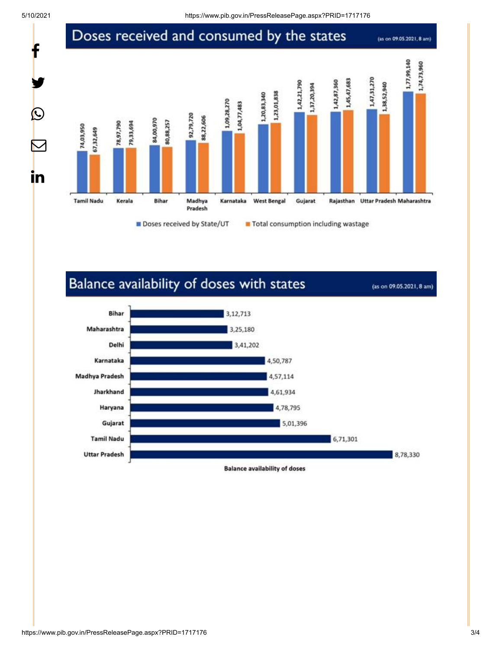t

y.

 $\bigcirc$ 

 $\bm{\nabla}$ 

in

### Doses received and consumed by the states

(as on 09.05.2021, 8 am)



## Balance availability of doses with states

(as on 09.05.2021, 8 am)



3,12,713

Bihar